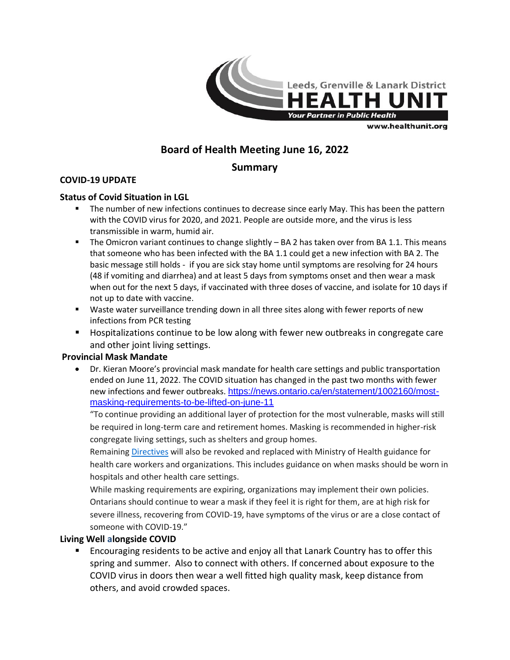

www.healthunit.org

# **Board of Health Meeting June 16, 2022**

## **Summary**

## **COVID-19 UPDATE**

### **Status of Covid Situation in LGL**

- **The number of new infections continues to decrease since early May. This has been the pattern** with the COVID virus for 2020, and 2021. People are outside more, and the virus is less transmissible in warm, humid air.
- The Omicron variant continues to change slightly BA 2 has taken over from BA 1.1. This means that someone who has been infected with the BA 1.1 could get a new infection with BA 2. The basic message still holds - if you are sick stay home until symptoms are resolving for 24 hours (48 if vomiting and diarrhea) and at least 5 days from symptoms onset and then wear a mask when out for the next 5 days, if vaccinated with three doses of vaccine, and isolate for 10 days if not up to date with vaccine.
- Waste water surveillance trending down in all three sites along with fewer reports of new infections from PCR testing
- **Hospitalizations continue to be low along with fewer new outbreaks in congregate care** and other joint living settings.

### **Provincial Mask Mandate**

 Dr. Kieran Moore's provincial mask mandate for health care settings and public transportation ended on June 11, 2022. The COVID situation has changed in the past two months with fewer new infections and fewer outbreaks. [https://news.ontario.ca/en/statement/1002160/most](https://news.ontario.ca/en/statement/1002160/most-masking-requirements-to-be-lifted-on-june-11)[masking-requirements-to-be-lifted-on-june-11](https://news.ontario.ca/en/statement/1002160/most-masking-requirements-to-be-lifted-on-june-11)

"To continue providing an additional layer of protection for the most vulnerable, masks will still be required in long-term care and retirement homes. Masking is recommended in higher-risk congregate living settings, such as shelters and group homes.

Remaining [Directives](https://www.health.gov.on.ca/en/pro/programs/publichealth/coronavirus/dir_mem_res.aspx) will also be revoked and replaced with Ministry of Health guidance for health care workers and organizations. This includes guidance on when masks should be worn in hospitals and other health care settings.

While masking requirements are expiring, organizations may implement their own policies. Ontarians should continue to wear a mask if they feel it is right for them, are at high risk for severe illness, recovering from COVID-19, have symptoms of the virus or are a close contact of someone with COVID-19."

### **Living Well alongside COVID**

 Encouraging residents to be active and enjoy all that Lanark Country has to offer this spring and summer. Also to connect with others. If concerned about exposure to the COVID virus in doors then wear a well fitted high quality mask, keep distance from others, and avoid crowded spaces.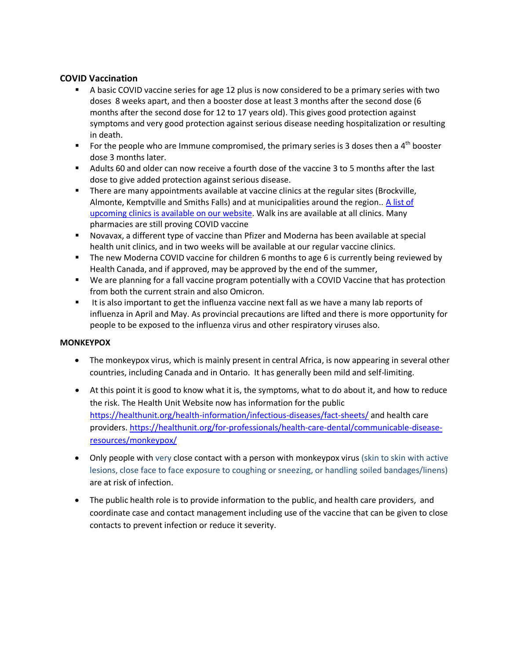### **COVID Vaccination**

- A basic COVID vaccine series for age 12 plus is now considered to be a primary series with two doses 8 weeks apart, and then a booster dose at least 3 months after the second dose (6 months after the second dose for 12 to 17 years old). This gives good protection against symptoms and very good protection against serious disease needing hospitalization or resulting in death.
- For the people who are Immune compromised, the primary series is 3 doses then a  $4^{\text{th}}$  booster dose 3 months later.
- Adults 60 and older can now receive a fourth dose of the vaccine 3 to 5 months after the last dose to give added protection against serious disease.
- **There are many appointments available at vaccine clinics at the regular sites (Brockville,** Almonte, Kemptville and Smiths Falls) and at municipalities around the region.. A list of [upcoming clinics is available on our website.](https://healthunit.org/health-information/covid-19/protection/vaccine-clinics/) Walk ins are available at all clinics. Many pharmacies are still proving COVID vaccine
- Novavax, a different type of vaccine than Pfizer and Moderna has been available at special health unit clinics, and in two weeks will be available at our regular vaccine clinics.
- The new Moderna COVID vaccine for children 6 months to age 6 is currently being reviewed by Health Canada, and if approved, may be approved by the end of the summer,
- We are planning for a fall vaccine program potentially with a COVID Vaccine that has protection from both the current strain and also Omicron.
- It is also important to get the influenza vaccine next fall as we have a many lab reports of influenza in April and May. As provincial precautions are lifted and there is more opportunity for people to be exposed to the influenza virus and other respiratory viruses also.

#### **MONKEYPOX**

- The monkeypox virus, which is mainly present in central Africa, is now appearing in several other countries, including Canada and in Ontario. It has generally been mild and self-limiting.
- At this point it is good to know what it is, the symptoms, what to do about it, and how to reduce the risk. The Health Unit Website now has information for the public <https://healthunit.org/health-information/infectious-diseases/fact-sheets/> and health care providers[. https://healthunit.org/for-professionals/health-care-dental/communicable-disease](https://healthunit.org/for-professionals/health-care-dental/communicable-disease-resources/monkeypox/)[resources/monkeypox/](https://healthunit.org/for-professionals/health-care-dental/communicable-disease-resources/monkeypox/)
- Only people with very close contact with a person with monkeypox virus (skin to skin with active lesions, close face to face exposure to coughing or sneezing, or handling soiled bandages/linens) are at risk of infection.
- The public health role is to provide information to the public, and health care providers, and coordinate case and contact management including use of the vaccine that can be given to close contacts to prevent infection or reduce it severity.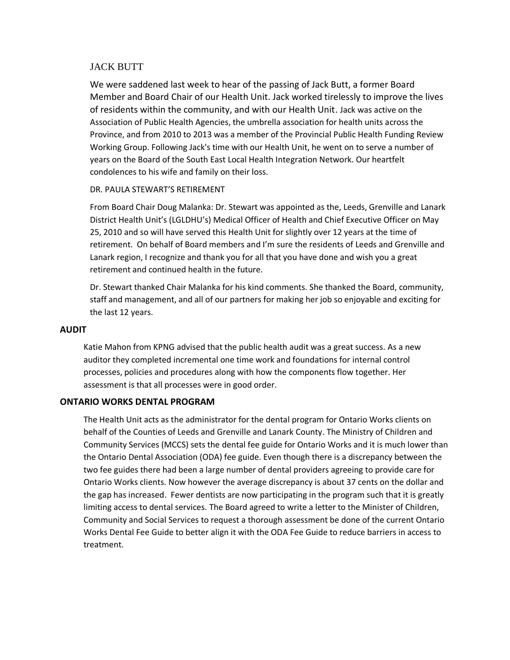### JACK BUTT

We were saddened last week to hear of the passing of Jack Butt, a former Board Member and Board Chair of our Health Unit. Jack worked tirelessly to improve the lives of residents within the community, and with our Health Unit. Jack was active on the Association of Public Health Agencies, the umbrella association for health units across the Province, and from 2010 to 2013 was a member of the Provincial Public Health Funding Review Working Group. Following Jack's time with our Health Unit, he went on to serve a number of years on the Board of the South East Local Health Integration Network. Our heartfelt condolences to his wife and family on their loss.

#### DR. PAULA STEWART'S RETIREMENT

From Board Chair Doug Malanka: Dr. Stewart was appointed as the, Leeds, Grenville and Lanark District Health Unit's (LGLDHU's) Medical Officer of Health and Chief Executive Officer on May 25, 2010 and so will have served this Health Unit for slightly over 12 years at the time of retirement. On behalf of Board members and I'm sure the residents of Leeds and Grenville and Lanark region, I recognize and thank you for all that you have done and wish you a great retirement and continued health in the future.

Dr. Stewart thanked Chair Malanka for his kind comments. She thanked the Board, community, staff and management, and all of our partners for making her job so enjoyable and exciting for the last 12 years.

#### **AUDIT**

Katie Mahon from KPNG advised that the public health audit was a great success. As a new auditor they completed incremental one time work and foundations for internal control processes, policies and procedures along with how the components flow together. Her assessment is that all processes were in good order.

#### **ONTARIO WORKS DENTAL PROGRAM**

The Health Unit acts as the administrator for the dental program for Ontario Works clients on behalf of the Counties of Leeds and Grenville and Lanark County. The Ministry of Children and Community Services (MCCS) sets the dental fee guide for Ontario Works and it is much lower than the Ontario Dental Association (ODA) fee guide. Even though there is a discrepancy between the two fee guides there had been a large number of dental providers agreeing to provide care for Ontario Works clients. Now however the average discrepancy is about 37 cents on the dollar and the gap has increased. Fewer dentists are now participating in the program such that it is greatly limiting access to dental services. The Board agreed to write a letter to the Minister of Children, Community and Social Services to request a thorough assessment be done of the current Ontario Works Dental Fee Guide to better align it with the ODA Fee Guide to reduce barriers in access to treatment.